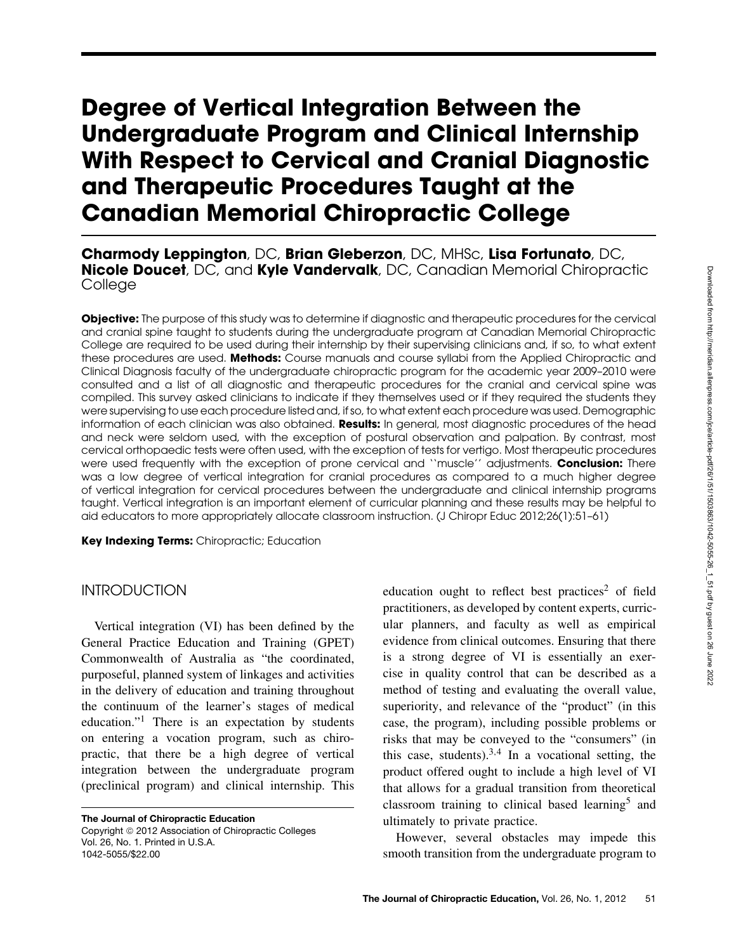# **Degree of Vertical Integration Between the Undergraduate Program and Clinical Internship With Respect to Cervical and Cranial Diagnostic and Therapeutic Procedures Taught at the Canadian Memorial Chiropractic College**

**Charmody Leppington**, DC, **Brian Gleberzon**, DC, MHSc, **Lisa Fortunato**, DC, **Nicole Doucet**, DC, and **Kyle Vandervalk**, DC, Canadian Memorial Chiropractic College

**Objective:** The purpose of this study was to determine if diagnostic and therapeutic procedures for the cervical and cranial spine taught to students during the undergraduate program at Canadian Memorial Chiropractic College are required to be used during their internship by their supervising clinicians and, if so, to what extent these procedures are used. **Methods:** Course manuals and course syllabi from the Applied Chiropractic and Clinical Diagnosis faculty of the undergraduate chiropractic program for the academic year 2009–2010 were consulted and a list of all diagnostic and therapeutic procedures for the cranial and cervical spine was compiled. This survey asked clinicians to indicate if they themselves used or if they required the students they were supervising to use each procedure listed and, if so, to what extent each procedure was used. Demographic information of each clinician was also obtained. **Results:** In general, most diagnostic procedures of the head and neck were seldom used, with the exception of postural observation and palpation. By contrast, most cervical orthopaedic tests were often used, with the exception of tests for vertigo. Most therapeutic procedures were used frequently with the exception of prone cervical and ''muscle'' adjustments. **Conclusion:** There was a low degree of vertical integration for cranial procedures as compared to a much higher degree of vertical integration for cervical procedures between the undergraduate and clinical internship programs taught. Vertical integration is an important element of curricular planning and these results may be helpful to aid educators to more appropriately allocate classroom instruction. (J Chiropr Educ 2012;26(1):51–61)

**Key Indexing Terms:** Chiropractic; Education

# INTRODUCTION

Vertical integration (VI) has been defined by the General Practice Education and Training (GPET) Commonwealth of Australia as "the coordinated, purposeful, planned system of linkages and activities in the delivery of education and training throughout the continuum of the learner's stages of medical education."1 There is an expectation by students on entering a vocation program, such as chiropractic, that there be a high degree of vertical integration between the undergraduate program (preclinical program) and clinical internship. This

**The Journal of Chiropractic Education** Copyright © 2012 Association of Chiropractic Colleges Vol. 26, No. 1. Printed in U.S.A. 1042-5055/\$22.00

education ought to reflect best practices<sup>2</sup> of field practitioners, as developed by content experts, curricular planners, and faculty as well as empirical evidence from clinical outcomes. Ensuring that there is a strong degree of VI is essentially an exercise in quality control that can be described as a method of testing and evaluating the overall value, superiority, and relevance of the "product" (in this case, the program), including possible problems or risks that may be conveyed to the "consumers" (in this case, students).<sup>3,4</sup> In a vocational setting, the product offered ought to include a high level of VI that allows for a gradual transition from theoretical classroom training to clinical based learning<sup>5</sup> and ultimately to private practice.

However, several obstacles may impede this smooth transition from the undergraduate program to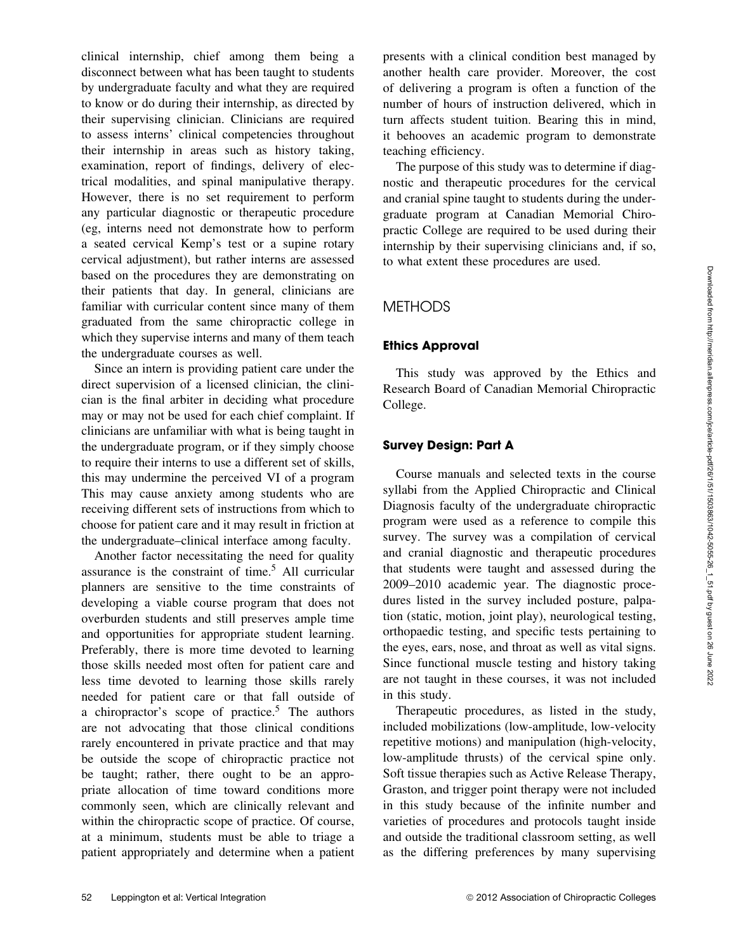Downloaded from http://meridian.allenpress.com/jce/article-pdf/26/1/503863/1042-5055-20\_1\_51 ,pdf by guest on 26 June 2022 Downloaded from http://meridian.allenpress.com/jce/article-pdf/26/1/51/1503863/1042-5055-26\_1\_51.pdf by guest on 26 June 2022

clinical internship, chief among them being a disconnect between what has been taught to students by undergraduate faculty and what they are required to know or do during their internship, as directed by their supervising clinician. Clinicians are required to assess interns' clinical competencies throughout their internship in areas such as history taking, examination, report of findings, delivery of electrical modalities, and spinal manipulative therapy. However, there is no set requirement to perform any particular diagnostic or therapeutic procedure (eg, interns need not demonstrate how to perform a seated cervical Kemp's test or a supine rotary cervical adjustment), but rather interns are assessed based on the procedures they are demonstrating on their patients that day. In general, clinicians are familiar with curricular content since many of them graduated from the same chiropractic college in which they supervise interns and many of them teach the undergraduate courses as well.

Since an intern is providing patient care under the direct supervision of a licensed clinician, the clinician is the final arbiter in deciding what procedure may or may not be used for each chief complaint. If clinicians are unfamiliar with what is being taught in the undergraduate program, or if they simply choose to require their interns to use a different set of skills, this may undermine the perceived VI of a program This may cause anxiety among students who are receiving different sets of instructions from which to choose for patient care and it may result in friction at the undergraduate–clinical interface among faculty.

Another factor necessitating the need for quality assurance is the constraint of time.5 All curricular planners are sensitive to the time constraints of developing a viable course program that does not overburden students and still preserves ample time and opportunities for appropriate student learning. Preferably, there is more time devoted to learning those skills needed most often for patient care and less time devoted to learning those skills rarely needed for patient care or that fall outside of a chiropractor's scope of practice.<sup>5</sup> The authors are not advocating that those clinical conditions rarely encountered in private practice and that may be outside the scope of chiropractic practice not be taught; rather, there ought to be an appropriate allocation of time toward conditions more commonly seen, which are clinically relevant and within the chiropractic scope of practice. Of course, at a minimum, students must be able to triage a patient appropriately and determine when a patient presents with a clinical condition best managed by another health care provider. Moreover, the cost of delivering a program is often a function of the number of hours of instruction delivered, which in turn affects student tuition. Bearing this in mind, it behooves an academic program to demonstrate teaching efficiency.

The purpose of this study was to determine if diagnostic and therapeutic procedures for the cervical and cranial spine taught to students during the undergraduate program at Canadian Memorial Chiropractic College are required to be used during their internship by their supervising clinicians and, if so, to what extent these procedures are used.

# **METHODS**

# **Ethics Approval**

This study was approved by the Ethics and Research Board of Canadian Memorial Chiropractic College.

# **Survey Design: Part A**

Course manuals and selected texts in the course syllabi from the Applied Chiropractic and Clinical Diagnosis faculty of the undergraduate chiropractic program were used as a reference to compile this survey. The survey was a compilation of cervical and cranial diagnostic and therapeutic procedures that students were taught and assessed during the 2009–2010 academic year. The diagnostic procedures listed in the survey included posture, palpation (static, motion, joint play), neurological testing, orthopaedic testing, and specific tests pertaining to the eyes, ears, nose, and throat as well as vital signs. Since functional muscle testing and history taking are not taught in these courses, it was not included in this study.

Therapeutic procedures, as listed in the study, included mobilizations (low-amplitude, low-velocity repetitive motions) and manipulation (high-velocity, low-amplitude thrusts) of the cervical spine only. Soft tissue therapies such as Active Release Therapy, Graston, and trigger point therapy were not included in this study because of the infinite number and varieties of procedures and protocols taught inside and outside the traditional classroom setting, as well as the differing preferences by many supervising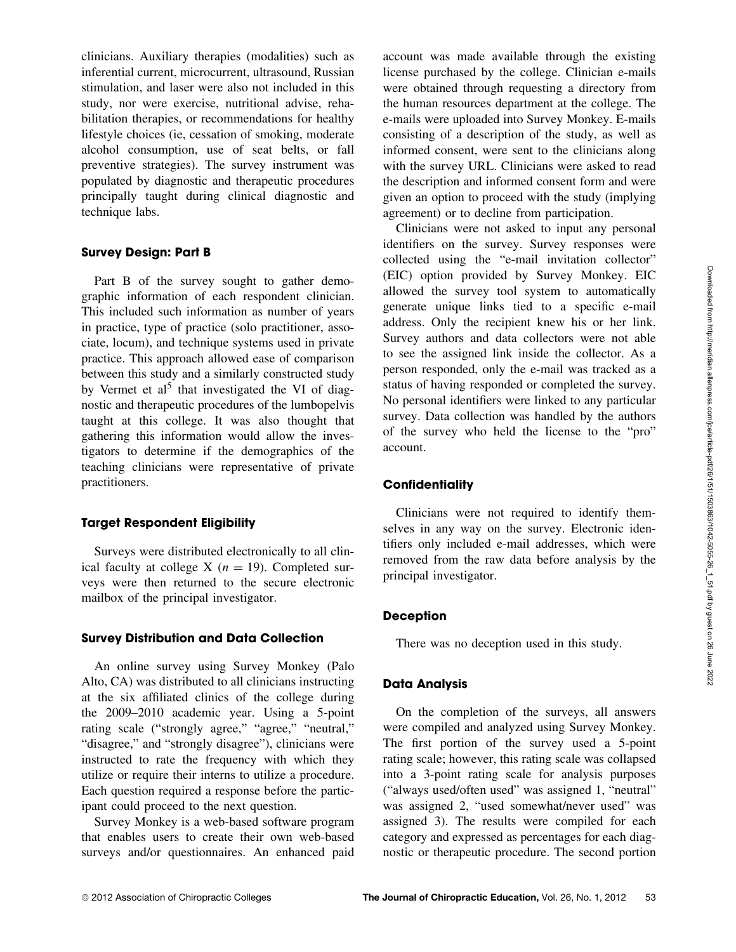clinicians. Auxiliary therapies (modalities) such as inferential current, microcurrent, ultrasound, Russian stimulation, and laser were also not included in this study, nor were exercise, nutritional advise, rehabilitation therapies, or recommendations for healthy lifestyle choices (ie, cessation of smoking, moderate alcohol consumption, use of seat belts, or fall preventive strategies). The survey instrument was populated by diagnostic and therapeutic procedures principally taught during clinical diagnostic and technique labs.

## **Survey Design: Part B**

Part B of the survey sought to gather demographic information of each respondent clinician. This included such information as number of years in practice, type of practice (solo practitioner, associate, locum), and technique systems used in private practice. This approach allowed ease of comparison between this study and a similarly constructed study by Vermet et al<sup>5</sup> that investigated the VI of diagnostic and therapeutic procedures of the lumbopelvis taught at this college. It was also thought that gathering this information would allow the investigators to determine if the demographics of the teaching clinicians were representative of private practitioners.

#### **Target Respondent Eligibility**

Surveys were distributed electronically to all clinical faculty at college X ( $n = 19$ ). Completed surveys were then returned to the secure electronic mailbox of the principal investigator.

#### **Survey Distribution and Data Collection**

An online survey using Survey Monkey (Palo Alto, CA) was distributed to all clinicians instructing at the six affiliated clinics of the college during the 2009–2010 academic year. Using a 5-point rating scale ("strongly agree," "agree," "neutral," "disagree," and "strongly disagree"), clinicians were instructed to rate the frequency with which they utilize or require their interns to utilize a procedure. Each question required a response before the participant could proceed to the next question.

Survey Monkey is a web-based software program that enables users to create their own web-based surveys and/or questionnaires. An enhanced paid account was made available through the existing license purchased by the college. Clinician e-mails were obtained through requesting a directory from the human resources department at the college. The e-mails were uploaded into Survey Monkey. E-mails consisting of a description of the study, as well as informed consent, were sent to the clinicians along with the survey URL. Clinicians were asked to read the description and informed consent form and were given an option to proceed with the study (implying agreement) or to decline from participation.

Clinicians were not asked to input any personal identifiers on the survey. Survey responses were collected using the "e-mail invitation collector" (EIC) option provided by Survey Monkey. EIC allowed the survey tool system to automatically generate unique links tied to a specific e-mail address. Only the recipient knew his or her link. Survey authors and data collectors were not able to see the assigned link inside the collector. As a person responded, only the e-mail was tracked as a status of having responded or completed the survey. No personal identifiers were linked to any particular survey. Data collection was handled by the authors of the survey who held the license to the "pro" account.

#### **Confidentiality**

Clinicians were not required to identify themselves in any way on the survey. Electronic identifiers only included e-mail addresses, which were removed from the raw data before analysis by the principal investigator.

# **Deception**

There was no deception used in this study.

#### **Data Analysis**

On the completion of the surveys, all answers were compiled and analyzed using Survey Monkey. The first portion of the survey used a 5-point rating scale; however, this rating scale was collapsed into a 3-point rating scale for analysis purposes ("always used/often used" was assigned 1, "neutral" was assigned 2, "used somewhat/never used" was assigned 3). The results were compiled for each category and expressed as percentages for each diagnostic or therapeutic procedure. The second portion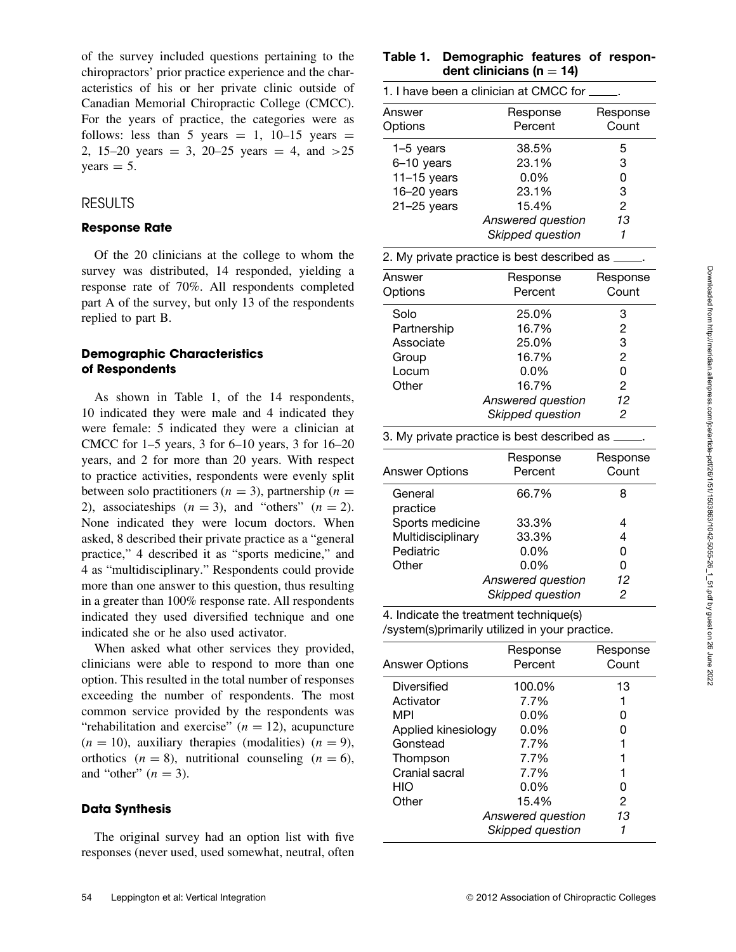of the survey included questions pertaining to the chiropractors' prior practice experience and the characteristics of his or her private clinic outside of Canadian Memorial Chiropractic College (CMCC). For the years of practice, the categories were as follows: less than 5 years  $= 1$ , 10–15 years  $=$ 2, 15–20 years  $= 3$ , 20–25 years  $= 4$ , and  $>25$  $years = 5.$ 

## RESULTS

#### **Response Rate**

Of the 20 clinicians at the college to whom the survey was distributed, 14 responded, yielding a response rate of 70%. All respondents completed part A of the survey, but only 13 of the respondents replied to part B.

## **Demographic Characteristics of Respondents**

As shown in Table 1, of the 14 respondents, 10 indicated they were male and 4 indicated they were female: 5 indicated they were a clinician at CMCC for 1–5 years, 3 for 6–10 years, 3 for 16–20 years, and 2 for more than 20 years. With respect to practice activities, respondents were evenly split between solo practitioners ( $n = 3$ ), partnership ( $n =$ 2), associateships  $(n = 3)$ , and "others"  $(n = 2)$ . None indicated they were locum doctors. When asked, 8 described their private practice as a "general practice," 4 described it as "sports medicine," and 4 as "multidisciplinary." Respondents could provide more than one answer to this question, thus resulting in a greater than 100% response rate. All respondents indicated they used diversified technique and one indicated she or he also used activator.

When asked what other services they provided, clinicians were able to respond to more than one option. This resulted in the total number of responses exceeding the number of respondents. The most common service provided by the respondents was "rehabilitation and exercise" ( $n = 12$ ), acupuncture  $(n = 10)$ , auxiliary therapies (modalities)  $(n = 9)$ , orthotics  $(n = 8)$ , nutritional counseling  $(n = 6)$ , and "other"  $(n = 3)$ .

#### **Data Synthesis**

The original survey had an option list with five responses (never used, used somewhat, neutral, often

## **Table 1. Demographic features of respon**dent clinicians ( $n = 14$ )

| 1. I have been a clinician at CMCC for _ |                     |                   |  |  |
|------------------------------------------|---------------------|-------------------|--|--|
| Answer<br>Options                        | Response<br>Percent | Response<br>Count |  |  |
| $1-5$ years                              | 38.5%               | 5                 |  |  |
| 6-10 years                               | 23.1%               | 3                 |  |  |
| $11-15$ years                            | $0.0\%$             | 0                 |  |  |
| $16 - 20$ years                          | 23.1%               | 3                 |  |  |
| $21 - 25$ years                          | 15.4%               | 2                 |  |  |
|                                          | Answered question   | 13                |  |  |
|                                          | Skipped question    |                   |  |  |

| 2. My private practice is best described as _ |                     |                   |  |  |
|-----------------------------------------------|---------------------|-------------------|--|--|
| Answer<br>Options                             | Response<br>Percent | Response<br>Count |  |  |
| Solo                                          | 25.0%               | 3                 |  |  |
| Partnership                                   | 16.7%               | 2                 |  |  |
| Associate                                     | 25.0%               | 3                 |  |  |
| Group                                         | 16.7%               | 2                 |  |  |
| Locum                                         | $0.0\%$             | 0                 |  |  |
| Other                                         | 16.7%               | 2                 |  |  |
|                                               | Answered question   | 12                |  |  |
|                                               | Skipped question    | 2                 |  |  |

|                     | 3. My private practice is best described as $\_$ |                   |  |  |  |
|---------------------|--------------------------------------------------|-------------------|--|--|--|
| Answer Options      | Response<br>Percent                              | Response<br>Count |  |  |  |
| General<br>practice | 66.7%                                            | 8                 |  |  |  |
| Sports medicine     | 33.3%                                            | 4                 |  |  |  |
| Multidisciplinary   | 33.3%                                            | 4                 |  |  |  |
| Pediatric           | $0.0\%$                                          | 0                 |  |  |  |
| Other               | $0.0\%$                                          | Ω                 |  |  |  |
|                     | Answered question                                | 12                |  |  |  |
|                     | Skipped question                                 | 2                 |  |  |  |

4. Indicate the treatment technique(s) /system(s)primarily utilized in your practice.

| Answer Options      | Response<br>Percent | Response<br>Count |
|---------------------|---------------------|-------------------|
| Diversified         | 100.0%              | 13                |
| Activator           | 7.7%                |                   |
| MPI                 | $0.0\%$             | O                 |
| Applied kinesiology | $0.0\%$             | O                 |
| Gonstead            | 7.7%                |                   |
| Thompson            | 7.7%                |                   |
| Cranial sacral      | 7.7%                |                   |
| HIO                 | $0.0\%$             | Ω                 |
| Other               | 15.4%               | 2                 |
|                     | Answered question   | 13                |
|                     | Skipped question    |                   |
|                     |                     |                   |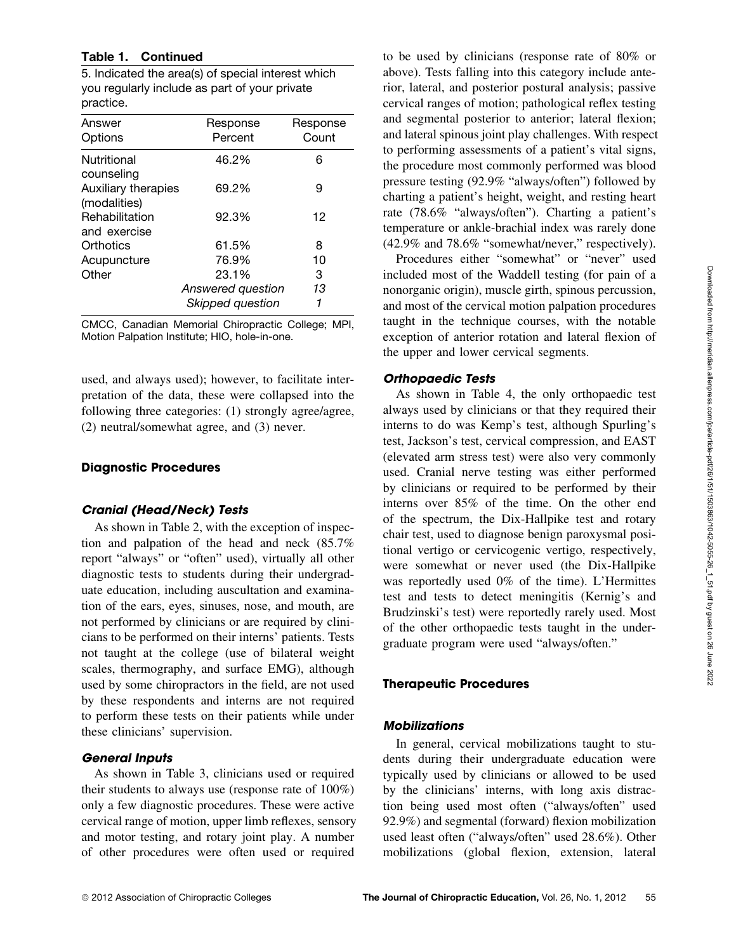# **Table 1. Continued**

5. Indicated the area(s) of special interest which you regularly include as part of your private practice.

| Answer<br>Options                   | Response<br>Percent | Response<br>Count |
|-------------------------------------|---------------------|-------------------|
| Nutritional<br>counseling           | 46.2%               | 6                 |
| Auxiliary therapies<br>(modalities) | 69.2%               | 9                 |
| Rehabilitation<br>and exercise      | 92.3%               | 12                |
| Orthotics                           | 61.5%               | 8                 |
| Acupuncture                         | 76.9%               | 10                |
| Other                               | 23.1%               | 3                 |
|                                     | Answered question   | 13                |
|                                     | Skipped question    | 1                 |

CMCC, Canadian Memorial Chiropractic College; MPI, Motion Palpation Institute; HIO, hole-in-one.

used, and always used); however, to facilitate interpretation of the data, these were collapsed into the following three categories: (1) strongly agree/agree, (2) neutral/somewhat agree, and (3) never.

#### **Diagnostic Procedures**

#### **Cranial (Head/Neck) Tests**

As shown in Table 2, with the exception of inspection and palpation of the head and neck (85.7% report "always" or "often" used), virtually all other diagnostic tests to students during their undergraduate education, including auscultation and examination of the ears, eyes, sinuses, nose, and mouth, are not performed by clinicians or are required by clinicians to be performed on their interns' patients. Tests not taught at the college (use of bilateral weight scales, thermography, and surface EMG), although used by some chiropractors in the field, are not used by these respondents and interns are not required to perform these tests on their patients while under these clinicians' supervision.

#### **General Inputs**

As shown in Table 3, clinicians used or required their students to always use (response rate of 100%) only a few diagnostic procedures. These were active cervical range of motion, upper limb reflexes, sensory and motor testing, and rotary joint play. A number of other procedures were often used or required

to be used by clinicians (response rate of 80% or above). Tests falling into this category include anterior, lateral, and posterior postural analysis; passive cervical ranges of motion; pathological reflex testing and segmental posterior to anterior; lateral flexion; and lateral spinous joint play challenges. With respect to performing assessments of a patient's vital signs, the procedure most commonly performed was blood pressure testing (92.9% "always/often") followed by charting a patient's height, weight, and resting heart rate (78.6% "always/often"). Charting a patient's temperature or ankle-brachial index was rarely done (42.9% and 78.6% "somewhat/never," respectively).

Procedures either "somewhat" or "never" used included most of the Waddell testing (for pain of a nonorganic origin), muscle girth, spinous percussion, and most of the cervical motion palpation procedures taught in the technique courses, with the notable exception of anterior rotation and lateral flexion of the upper and lower cervical segments.

## **Orthopaedic Tests**

As shown in Table 4, the only orthopaedic test always used by clinicians or that they required their interns to do was Kemp's test, although Spurling's test, Jackson's test, cervical compression, and EAST (elevated arm stress test) were also very commonly used. Cranial nerve testing was either performed by clinicians or required to be performed by their interns over 85% of the time. On the other end of the spectrum, the Dix-Hallpike test and rotary chair test, used to diagnose benign paroxysmal positional vertigo or cervicogenic vertigo, respectively, were somewhat or never used (the Dix-Hallpike was reportedly used 0% of the time). L'Hermittes test and tests to detect meningitis (Kernig's and Brudzinski's test) were reportedly rarely used. Most of the other orthopaedic tests taught in the undergraduate program were used "always/often."

# **Therapeutic Procedures**

# **Mobilizations**

In general, cervical mobilizations taught to students during their undergraduate education were typically used by clinicians or allowed to be used by the clinicians' interns, with long axis distraction being used most often ("always/often" used 92.9%) and segmental (forward) flexion mobilization used least often ("always/often" used 28.6%). Other mobilizations (global flexion, extension, lateral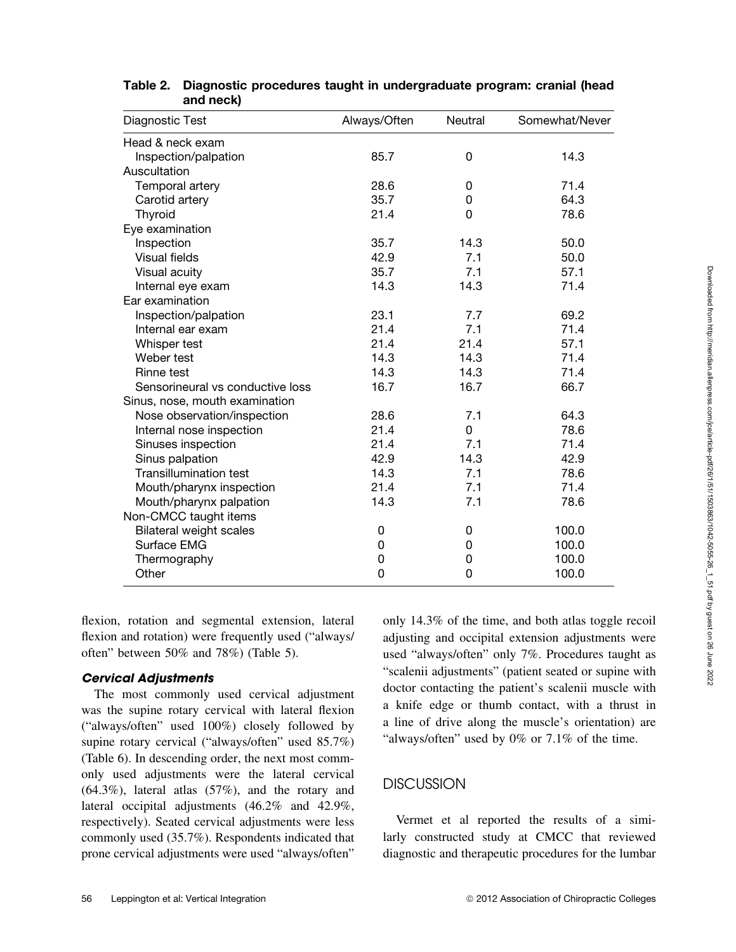| Diagnostic Test                  | Always/Often | Neutral | Somewhat/Never |
|----------------------------------|--------------|---------|----------------|
| Head & neck exam                 |              |         |                |
| Inspection/palpation             | 85.7         | 0       | 14.3           |
| Auscultation                     |              |         |                |
| Temporal artery                  | 28.6         | 0       | 71.4           |
| Carotid artery                   | 35.7         | 0       | 64.3           |
| Thyroid                          | 21.4         | 0       | 78.6           |
| Eye examination                  |              |         |                |
| Inspection                       | 35.7         | 14.3    | 50.0           |
| Visual fields                    | 42.9         | 7.1     | 50.0           |
| Visual acuity                    | 35.7         | 7.1     | 57.1           |
| Internal eye exam                | 14.3         | 14.3    | 71.4           |
| Ear examination                  |              |         |                |
| Inspection/palpation             | 23.1         | 7.7     | 69.2           |
| Internal ear exam                | 21.4         | 7.1     | 71.4           |
| Whisper test                     | 21.4         | 21.4    | 57.1           |
| Weber test                       | 14.3         | 14.3    | 71.4           |
| Rinne test                       | 14.3         | 14.3    | 71.4           |
| Sensorineural vs conductive loss | 16.7         | 16.7    | 66.7           |
| Sinus, nose, mouth examination   |              |         |                |
| Nose observation/inspection      | 28.6         | 7.1     | 64.3           |
| Internal nose inspection         | 21.4         | 0       | 78.6           |
| Sinuses inspection               | 21.4         | 7.1     | 71.4           |
| Sinus palpation                  | 42.9         | 14.3    | 42.9           |
| <b>Transillumination test</b>    | 14.3         | 7.1     | 78.6           |
| Mouth/pharynx inspection         | 21.4         | 7.1     | 71.4           |
| Mouth/pharynx palpation          | 14.3         | 7.1     | 78.6           |
| Non-CMCC taught items            |              |         |                |
| <b>Bilateral weight scales</b>   | 0            | 0       | 100.0          |
| Surface EMG                      | 0            | 0       | 100.0          |
| Thermography                     | 0            | 0       | 100.0          |
| Other                            | 0            | 0       | 100.0          |
|                                  |              |         |                |

# **Table 2. Diagnostic procedures taught in undergraduate program: cranial (head and neck)**

flexion, rotation and segmental extension, lateral flexion and rotation) were frequently used ("always/ often" between 50% and 78%) (Table 5).

#### **Cervical Adjustments**

The most commonly used cervical adjustment was the supine rotary cervical with lateral flexion ("always/often" used 100%) closely followed by supine rotary cervical ("always/often" used 85.7%) (Table 6). In descending order, the next most commonly used adjustments were the lateral cervical  $(64.3\%)$ , lateral atlas  $(57\%)$ , and the rotary and lateral occipital adjustments (46.2% and 42.9%, respectively). Seated cervical adjustments were less commonly used (35.7%). Respondents indicated that prone cervical adjustments were used "always/often"

only 14.3% of the time, and both atlas toggle recoil adjusting and occipital extension adjustments were used "always/often" only 7%. Procedures taught as "scalenii adjustments" (patient seated or supine with doctor contacting the patient's scalenii muscle with a knife edge or thumb contact, with a thrust in a line of drive along the muscle's orientation) are "always/often" used by 0% or 7.1% of the time.

# **DISCUSSION**

Vermet et al reported the results of a similarly constructed study at CMCC that reviewed diagnostic and therapeutic procedures for the lumbar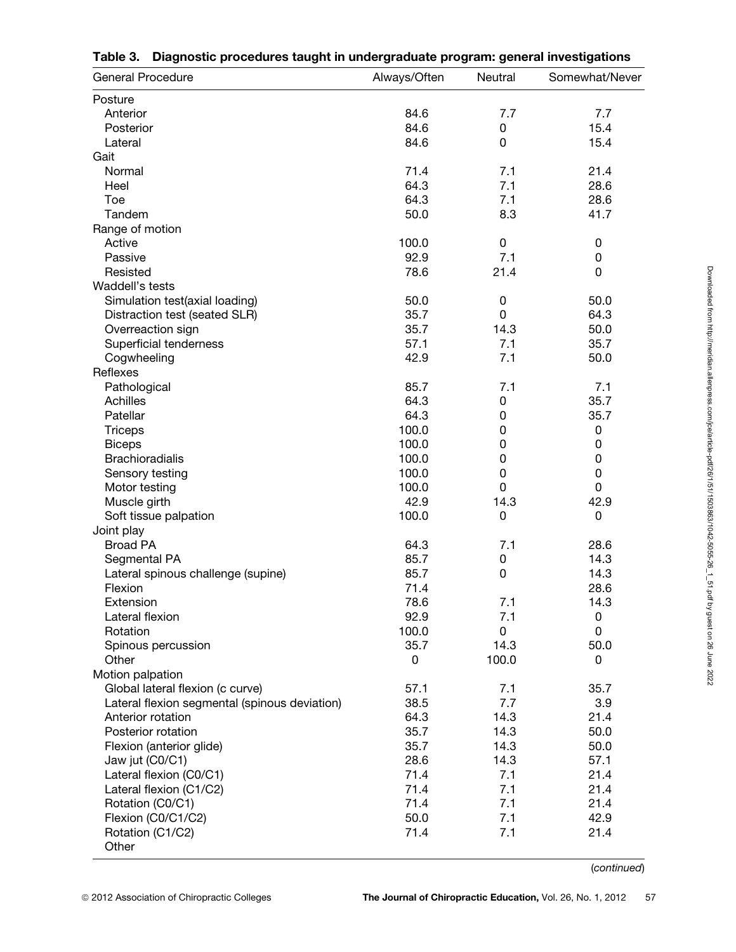| <b>General Procedure</b>                      | Always/Often | Neutral     | Somewhat/Never |
|-----------------------------------------------|--------------|-------------|----------------|
| Posture                                       |              |             |                |
| Anterior                                      | 84.6         | 7.7         | 7.7            |
| Posterior                                     | 84.6         | 0           | 15.4           |
| Lateral                                       | 84.6         | 0           | 15.4           |
| Gait                                          |              |             |                |
| Normal                                        | 71.4         | 7.1         | 21.4           |
| Heel                                          | 64.3         | 7.1         | 28.6           |
| Toe                                           | 64.3         | 7.1         | 28.6           |
| Tandem                                        | 50.0         | 8.3         | 41.7           |
| Range of motion                               |              |             |                |
| Active                                        | 100.0        | $\pmb{0}$   | 0              |
| Passive                                       | 92.9         | 7.1         | 0              |
| Resisted                                      | 78.6         | 21.4        | 0              |
| Waddell's tests                               |              |             |                |
| Simulation test(axial loading)                | 50.0         | 0           | 50.0           |
| Distraction test (seated SLR)                 | 35.7         | 0           | 64.3           |
| Overreaction sign                             | 35.7         | 14.3        | 50.0           |
| Superficial tenderness                        | 57.1         | 7.1         | 35.7           |
| Cogwheeling                                   | 42.9         | 7.1         | 50.0           |
| Reflexes                                      |              |             |                |
| Pathological                                  | 85.7         | 7.1         | 7.1            |
| Achilles                                      | 64.3         | 0           | 35.7           |
| Patellar                                      | 64.3         | 0           | 35.7           |
| <b>Triceps</b>                                | 100.0        | 0           | 0              |
| <b>Biceps</b>                                 | 100.0        | $\mathbf 0$ | 0              |
| <b>Brachioradialis</b>                        | 100.0        | $\mathbf 0$ | 0              |
| Sensory testing                               | 100.0        | $\mathbf 0$ | 0              |
| Motor testing                                 | 100.0        | 0           | 0              |
|                                               | 42.9         | 14.3        | 42.9           |
| Muscle girth                                  | 100.0        | 0           | $\pmb{0}$      |
| Soft tissue palpation                         |              |             |                |
| Joint play<br><b>Broad PA</b>                 | 64.3         | 7.1         | 28.6           |
|                                               | 85.7         |             | 14.3           |
| Segmental PA                                  | 85.7         | 0<br>0      | 14.3           |
| Lateral spinous challenge (supine)            | 71.4         |             | 28.6           |
| Flexion                                       |              |             |                |
| Extension                                     | 78.6         | 7.1         | 14.3           |
| Lateral flexion                               | 92.9         | 7.1         | 0              |
| Rotation                                      | 100.0        | 0           | 0              |
| Spinous percussion                            | 35.7         | 14.3        | 50.0           |
| Other                                         | 0            | 100.0       | 0              |
| Motion palpation                              |              |             |                |
| Global lateral flexion (c curve)              | 57.1         | 7.1         | 35.7           |
| Lateral flexion segmental (spinous deviation) | 38.5         | 7.7         | 3.9            |
| Anterior rotation                             | 64.3         | 14.3        | 21.4           |
| Posterior rotation                            | 35.7         | 14.3        | 50.0           |
| Flexion (anterior glide)                      | 35.7         | 14.3        | 50.0           |
| Jaw jut (C0/C1)                               | 28.6         | 14.3        | 57.1           |
| Lateral flexion (C0/C1)                       | 71.4         | 7.1         | 21.4           |
| Lateral flexion (C1/C2)                       | 71.4         | 7.1         | 21.4           |
| Rotation (C0/C1)                              | 71.4         | 7.1         | 21.4           |
| Flexion (C0/C1/C2)                            | 50.0         | 7.1         | 42.9           |
| Rotation (C1/C2)<br>Other                     | 71.4         | 7.1         | 21.4           |

|  |  | Table 3. Diagnostic procedures taught in undergraduate program: general investigations |
|--|--|----------------------------------------------------------------------------------------|
|  |  |                                                                                        |

(*continued*)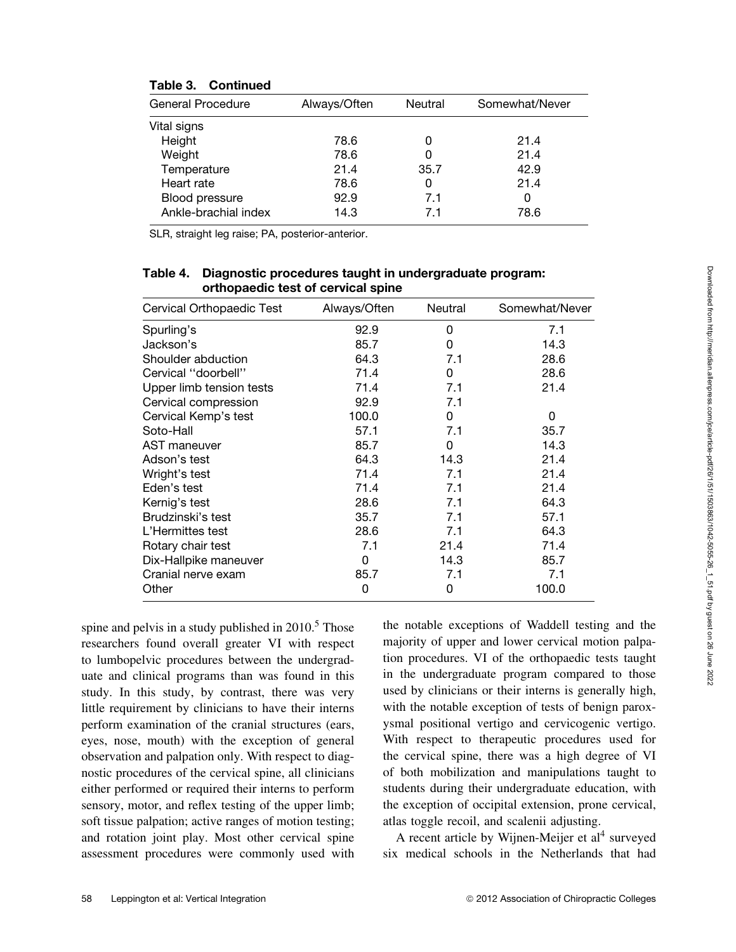| <b>General Procedure</b> | Always/Often | Neutral | Somewhat/Never |
|--------------------------|--------------|---------|----------------|
| Vital signs              |              |         |                |
| Height                   | 78.6         |         | 21.4           |
| Weight                   | 78.6         |         | 21.4           |
| Temperature              | 21.4         | 35.7    | 42.9           |
| Heart rate               | 78.6         | 0       | 21.4           |
| Blood pressure           | 92.9         | 7.1     | 0              |
| Ankle-brachial index     | 14.3         | 71      | 78.6           |

# **Table 3. Continued**

SLR, straight leg raise; PA, posterior-anterior.

# **Table 4. Diagnostic procedures taught in undergraduate program: orthopaedic test of cervical spine**

| Cervical Orthopaedic Test | Always/Often | Neutral | Somewhat/Never |
|---------------------------|--------------|---------|----------------|
| Spurling's                | 92.9         | 0       | 7.1            |
| Jackson's                 | 85.7         | 0       | 14.3           |
| Shoulder abduction        | 64.3         | 7.1     | 28.6           |
| Cervical "doorbell"       | 71.4         | 0       | 28.6           |
| Upper limb tension tests  | 71.4         | 7.1     | 21.4           |
| Cervical compression      | 92.9         | 7.1     |                |
| Cervical Kemp's test      | 100.0        | 0       | 0              |
| Soto-Hall                 | 57.1         | 7.1     | 35.7           |
| AST maneuver              | 85.7         | 0       | 14.3           |
| Adson's test              | 64.3         | 14.3    | 21.4           |
| Wright's test             | 71.4         | 7.1     | 21.4           |
| Eden's test               | 71.4         | 7.1     | 21.4           |
| Kernig's test             | 28.6         | 7.1     | 64.3           |
| Brudzinski's test         | 35.7         | 7.1     | 57.1           |
| L'Hermittes test          | 28.6         | 7.1     | 64.3           |
| Rotary chair test         | 7.1          | 21.4    | 71.4           |
| Dix-Hallpike maneuver     | 0            | 14.3    | 85.7           |
| Cranial nerve exam        | 85.7         | 7.1     | 7.1            |
| Other                     | 0            | 0       | 100.0          |

spine and pelvis in a study published in  $2010<sup>5</sup>$ . Those researchers found overall greater VI with respect to lumbopelvic procedures between the undergraduate and clinical programs than was found in this study. In this study, by contrast, there was very little requirement by clinicians to have their interns perform examination of the cranial structures (ears, eyes, nose, mouth) with the exception of general observation and palpation only. With respect to diagnostic procedures of the cervical spine, all clinicians either performed or required their interns to perform sensory, motor, and reflex testing of the upper limb; soft tissue palpation; active ranges of motion testing; and rotation joint play. Most other cervical spine assessment procedures were commonly used with the notable exceptions of Waddell testing and the majority of upper and lower cervical motion palpation procedures. VI of the orthopaedic tests taught in the undergraduate program compared to those used by clinicians or their interns is generally high, with the notable exception of tests of benign paroxysmal positional vertigo and cervicogenic vertigo. With respect to therapeutic procedures used for the cervical spine, there was a high degree of VI of both mobilization and manipulations taught to students during their undergraduate education, with the exception of occipital extension, prone cervical, atlas toggle recoil, and scalenii adjusting.

A recent article by Wijnen-Meijer et  $al<sup>4</sup>$  surveyed six medical schools in the Netherlands that had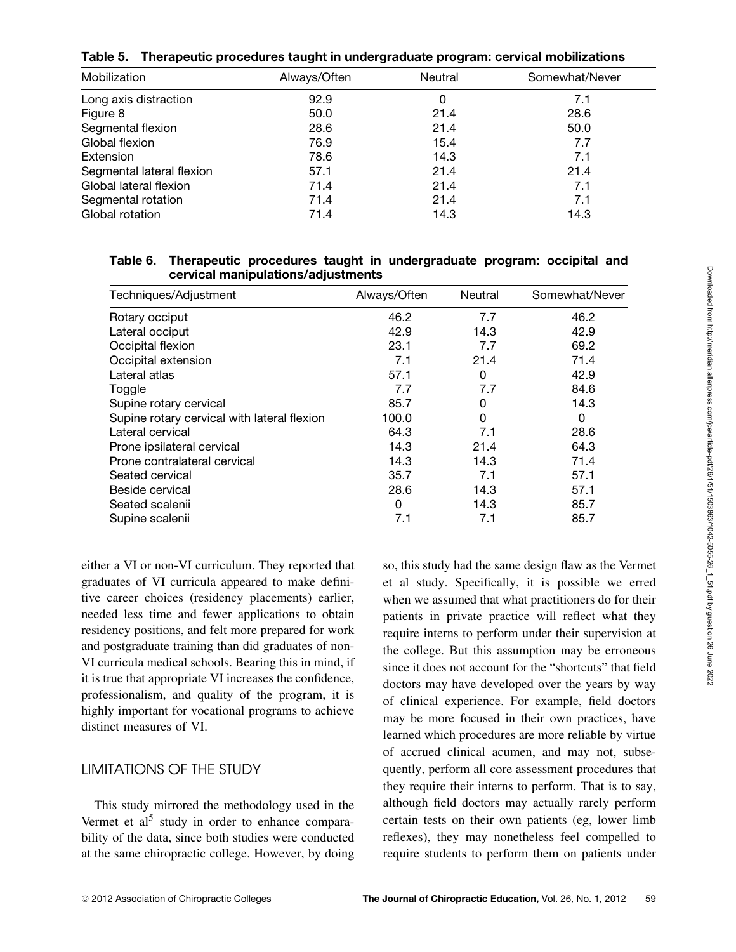|  |  | Table 5. Therapeutic procedures taught in undergraduate program: cervical mobilizations |  |  |  |  |
|--|--|-----------------------------------------------------------------------------------------|--|--|--|--|
|--|--|-----------------------------------------------------------------------------------------|--|--|--|--|

| Mobilization              | Always/Often | Neutral | Somewhat/Never |
|---------------------------|--------------|---------|----------------|
| Long axis distraction     | 92.9         | 0       | 7.1            |
| Figure 8                  | 50.0         | 21.4    | 28.6           |
| Segmental flexion         | 28.6         | 21.4    | 50.0           |
| Global flexion            | 76.9         | 15.4    | 7.7            |
| Extension                 | 78.6         | 14.3    | 7.1            |
| Segmental lateral flexion | 57.1         | 21.4    | 21.4           |
| Global lateral flexion    | 71.4         | 21.4    | 7.1            |
| Segmental rotation        | 71.4         | 21.4    | 7.1            |
| Global rotation           | 71.4         | 14.3    | 14.3           |

## **Table 6. Therapeutic procedures taught in undergraduate program: occipital and cervical manipulations/adjustments**

| Techniques/Adjustment                       | Always/Often | Neutral | Somewhat/Never |
|---------------------------------------------|--------------|---------|----------------|
| Rotary occiput                              | 46.2         | 7.7     | 46.2           |
| Lateral occiput                             | 42.9         | 14.3    | 42.9           |
| Occipital flexion                           | 23.1         | 7.7     | 69.2           |
| Occipital extension                         | 7.1          | 21.4    | 71.4           |
| Lateral atlas                               | 57.1         | 0       | 42.9           |
| Toggle                                      | 7.7          | 7.7     | 84.6           |
| Supine rotary cervical                      | 85.7         | 0       | 14.3           |
| Supine rotary cervical with lateral flexion | 100.0        | 0       | 0              |
| Lateral cervical                            | 64.3         | 7.1     | 28.6           |
| Prone ipsilateral cervical                  | 14.3         | 21.4    | 64.3           |
| Prone contralateral cervical                | 14.3         | 14.3    | 71.4           |
| Seated cervical                             | 35.7         | 7.1     | 57.1           |
| Beside cervical                             | 28.6         | 14.3    | 57.1           |
| Seated scalenii                             | 0            | 14.3    | 85.7           |
| Supine scalenii                             | 7.1          | 7.1     | 85.7           |

either a VI or non-VI curriculum. They reported that graduates of VI curricula appeared to make definitive career choices (residency placements) earlier, needed less time and fewer applications to obtain residency positions, and felt more prepared for work and postgraduate training than did graduates of non-VI curricula medical schools. Bearing this in mind, if it is true that appropriate VI increases the confidence, professionalism, and quality of the program, it is highly important for vocational programs to achieve distinct measures of VI.

# LIMITATIONS OF THE STUDY

This study mirrored the methodology used in the Vermet et al<sup>5</sup> study in order to enhance comparability of the data, since both studies were conducted at the same chiropractic college. However, by doing so, this study had the same design flaw as the Vermet et al study. Specifically, it is possible we erred when we assumed that what practitioners do for their patients in private practice will reflect what they require interns to perform under their supervision at the college. But this assumption may be erroneous since it does not account for the "shortcuts" that field doctors may have developed over the years by way of clinical experience. For example, field doctors may be more focused in their own practices, have learned which procedures are more reliable by virtue of accrued clinical acumen, and may not, subsequently, perform all core assessment procedures that they require their interns to perform. That is to say, although field doctors may actually rarely perform certain tests on their own patients (eg, lower limb reflexes), they may nonetheless feel compelled to require students to perform them on patients under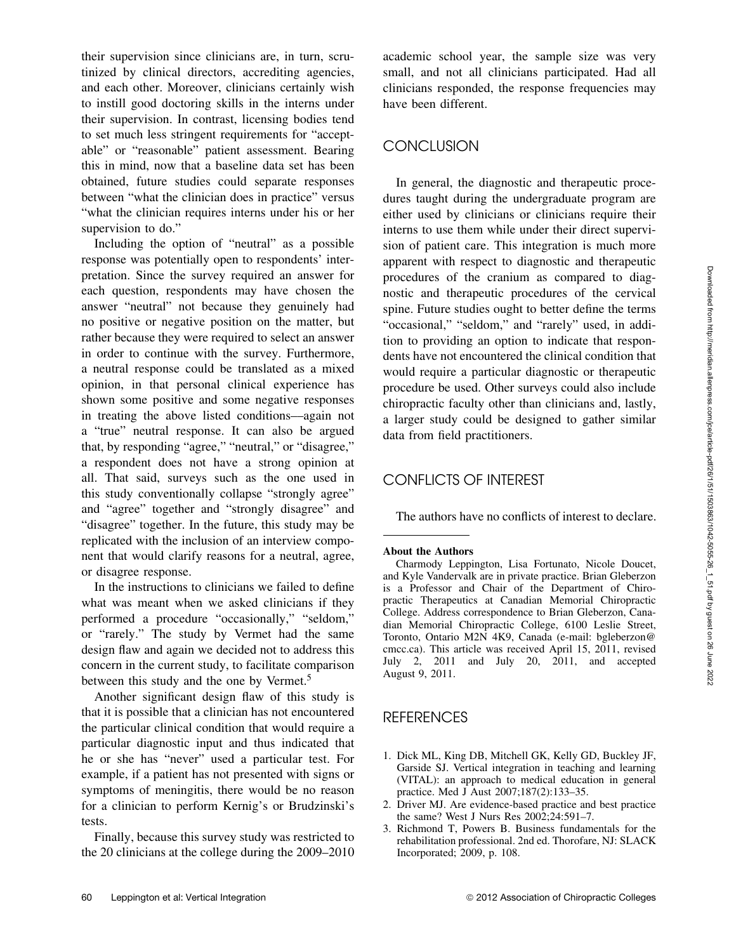their supervision since clinicians are, in turn, scrutinized by clinical directors, accrediting agencies, and each other. Moreover, clinicians certainly wish to instill good doctoring skills in the interns under their supervision. In contrast, licensing bodies tend to set much less stringent requirements for "acceptable" or "reasonable" patient assessment. Bearing this in mind, now that a baseline data set has been obtained, future studies could separate responses between "what the clinician does in practice" versus "what the clinician requires interns under his or her supervision to do."

Including the option of "neutral" as a possible response was potentially open to respondents' interpretation. Since the survey required an answer for each question, respondents may have chosen the answer "neutral" not because they genuinely had no positive or negative position on the matter, but rather because they were required to select an answer in order to continue with the survey. Furthermore, a neutral response could be translated as a mixed opinion, in that personal clinical experience has shown some positive and some negative responses in treating the above listed conditions––again not a "true" neutral response. It can also be argued that, by responding "agree," "neutral," or "disagree," a respondent does not have a strong opinion at all. That said, surveys such as the one used in this study conventionally collapse "strongly agree" and "agree" together and "strongly disagree" and "disagree" together. In the future, this study may be replicated with the inclusion of an interview component that would clarify reasons for a neutral, agree, or disagree response.

In the instructions to clinicians we failed to define what was meant when we asked clinicians if they performed a procedure "occasionally," "seldom," or "rarely." The study by Vermet had the same design flaw and again we decided not to address this concern in the current study, to facilitate comparison between this study and the one by Vermet.<sup>5</sup>

Another significant design flaw of this study is that it is possible that a clinician has not encountered the particular clinical condition that would require a particular diagnostic input and thus indicated that he or she has "never" used a particular test. For example, if a patient has not presented with signs or symptoms of meningitis, there would be no reason for a clinician to perform Kernig's or Brudzinski's tests.

Finally, because this survey study was restricted to the 20 clinicians at the college during the 2009–2010 academic school year, the sample size was very small, and not all clinicians participated. Had all clinicians responded, the response frequencies may have been different.

# **CONCLUSION**

In general, the diagnostic and therapeutic procedures taught during the undergraduate program are either used by clinicians or clinicians require their interns to use them while under their direct supervision of patient care. This integration is much more apparent with respect to diagnostic and therapeutic procedures of the cranium as compared to diagnostic and therapeutic procedures of the cervical spine. Future studies ought to better define the terms "occasional," "seldom," and "rarely" used, in addition to providing an option to indicate that respondents have not encountered the clinical condition that would require a particular diagnostic or therapeutic procedure be used. Other surveys could also include chiropractic faculty other than clinicians and, lastly, a larger study could be designed to gather similar data from field practitioners.

# CONFLICTS OF INTEREST

The authors have no conflicts of interest to declare.

#### **About the Authors**

Charmody Leppington, Lisa Fortunato, Nicole Doucet, and Kyle Vandervalk are in private practice. Brian Gleberzon is a Professor and Chair of the Department of Chiropractic Therapeutics at Canadian Memorial Chiropractic College. Address correspondence to Brian Gleberzon, Canadian Memorial Chiropractic College, 6100 Leslie Street, Toronto, Ontario M2N 4K9, Canada (e-mail: bgleberzon@ cmcc.ca). This article was received April 15, 2011, revised July 2, 2011 and July 20, 2011, and accepted August 9, 2011.

# **REFERENCES**

- 1. Dick ML, King DB, Mitchell GK, Kelly GD, Buckley JF, Garside SJ. Vertical integration in teaching and learning (VITAL): an approach to medical education in general practice. Med J Aust 2007;187(2):133–35.
- 2. Driver MJ. Are evidence-based practice and best practice the same? West J Nurs Res 2002;24:591–7.
- 3. Richmond T, Powers B. Business fundamentals for the rehabilitation professional. 2nd ed. Thorofare, NJ: SLACK Incorporated; 2009, p. 108.